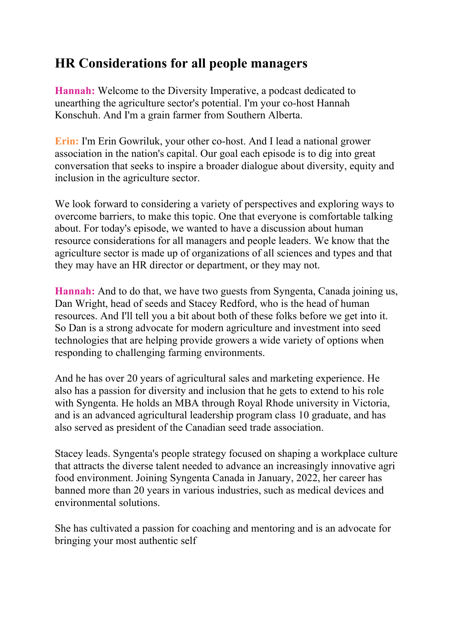## **HR Considerations for all people managers**

**Hannah:** Welcome to the Diversity Imperative, a podcast dedicated to unearthing the agriculture sector's potential. I'm your co-host Hannah Konschuh. And I'm a grain farmer from Southern Alberta.

**Erin:** I'm Erin Gowriluk, your other co-host. And I lead a national grower association in the nation's capital. Our goal each episode is to dig into great conversation that seeks to inspire a broader dialogue about diversity, equity and inclusion in the agriculture sector.

We look forward to considering a variety of perspectives and exploring ways to overcome barriers, to make this topic. One that everyone is comfortable talking about. For today's episode, we wanted to have a discussion about human resource considerations for all managers and people leaders. We know that the agriculture sector is made up of organizations of all sciences and types and that they may have an HR director or department, or they may not.

**Hannah:** And to do that, we have two guests from Syngenta, Canada joining us, Dan Wright, head of seeds and Stacey Redford, who is the head of human resources. And I'll tell you a bit about both of these folks before we get into it. So Dan is a strong advocate for modern agriculture and investment into seed technologies that are helping provide growers a wide variety of options when responding to challenging farming environments.

And he has over 20 years of agricultural sales and marketing experience. He also has a passion for diversity and inclusion that he gets to extend to his role with Syngenta. He holds an MBA through Royal Rhode university in Victoria, and is an advanced agricultural leadership program class 10 graduate, and has also served as president of the Canadian seed trade association.

Stacey leads. Syngenta's people strategy focused on shaping a workplace culture that attracts the diverse talent needed to advance an increasingly innovative agri food environment. Joining Syngenta Canada in January, 2022, her career has banned more than 20 years in various industries, such as medical devices and environmental solutions.

She has cultivated a passion for coaching and mentoring and is an advocate for bringing your most authentic self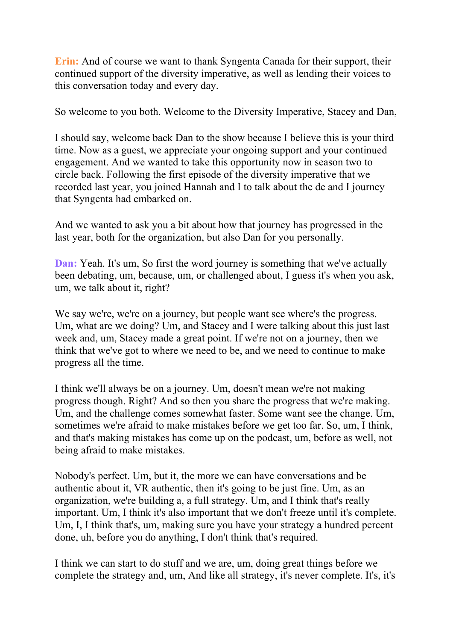**Erin:** And of course we want to thank Syngenta Canada for their support, their continued support of the diversity imperative, as well as lending their voices to this conversation today and every day.

So welcome to you both. Welcome to the Diversity Imperative, Stacey and Dan,

I should say, welcome back Dan to the show because I believe this is your third time. Now as a guest, we appreciate your ongoing support and your continued engagement. And we wanted to take this opportunity now in season two to circle back. Following the first episode of the diversity imperative that we recorded last year, you joined Hannah and I to talk about the de and I journey that Syngenta had embarked on.

And we wanted to ask you a bit about how that journey has progressed in the last year, both for the organization, but also Dan for you personally.

**Dan:** Yeah. It's um, So first the word journey is something that we've actually been debating, um, because, um, or challenged about, I guess it's when you ask, um, we talk about it, right?

We say we're, we're on a journey, but people want see where's the progress. Um, what are we doing? Um, and Stacey and I were talking about this just last week and, um, Stacey made a great point. If we're not on a journey, then we think that we've got to where we need to be, and we need to continue to make progress all the time.

I think we'll always be on a journey. Um, doesn't mean we're not making progress though. Right? And so then you share the progress that we're making. Um, and the challenge comes somewhat faster. Some want see the change. Um, sometimes we're afraid to make mistakes before we get too far. So, um, I think, and that's making mistakes has come up on the podcast, um, before as well, not being afraid to make mistakes.

Nobody's perfect. Um, but it, the more we can have conversations and be authentic about it, VR authentic, then it's going to be just fine. Um, as an organization, we're building a, a full strategy. Um, and I think that's really important. Um, I think it's also important that we don't freeze until it's complete. Um, I, I think that's, um, making sure you have your strategy a hundred percent done, uh, before you do anything, I don't think that's required.

I think we can start to do stuff and we are, um, doing great things before we complete the strategy and, um, And like all strategy, it's never complete. It's, it's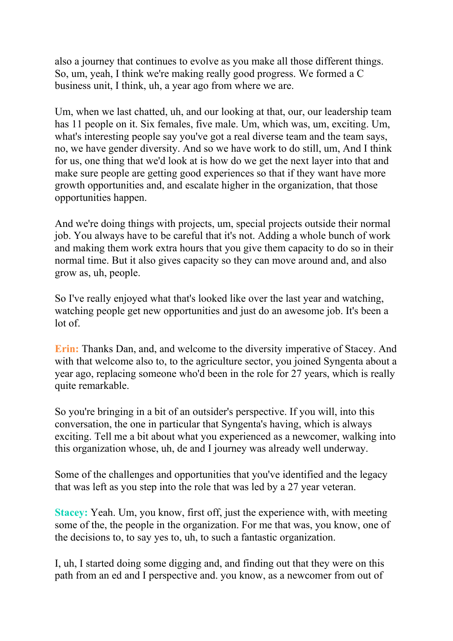also a journey that continues to evolve as you make all those different things. So, um, yeah, I think we're making really good progress. We formed a C business unit, I think, uh, a year ago from where we are.

Um, when we last chatted, uh, and our looking at that, our, our leadership team has 11 people on it. Six females, five male. Um, which was, um, exciting. Um, what's interesting people say you've got a real diverse team and the team says, no, we have gender diversity. And so we have work to do still, um, And I think for us, one thing that we'd look at is how do we get the next layer into that and make sure people are getting good experiences so that if they want have more growth opportunities and, and escalate higher in the organization, that those opportunities happen.

And we're doing things with projects, um, special projects outside their normal job. You always have to be careful that it's not. Adding a whole bunch of work and making them work extra hours that you give them capacity to do so in their normal time. But it also gives capacity so they can move around and, and also grow as, uh, people.

So I've really enjoyed what that's looked like over the last year and watching, watching people get new opportunities and just do an awesome job. It's been a lot of.

**Erin:** Thanks Dan, and, and welcome to the diversity imperative of Stacey. And with that welcome also to, to the agriculture sector, you joined Syngenta about a year ago, replacing someone who'd been in the role for 27 years, which is really quite remarkable.

So you're bringing in a bit of an outsider's perspective. If you will, into this conversation, the one in particular that Syngenta's having, which is always exciting. Tell me a bit about what you experienced as a newcomer, walking into this organization whose, uh, de and I journey was already well underway.

Some of the challenges and opportunities that you've identified and the legacy that was left as you step into the role that was led by a 27 year veteran.

**Stacey:** Yeah. Um, you know, first off, just the experience with, with meeting some of the, the people in the organization. For me that was, you know, one of the decisions to, to say yes to, uh, to such a fantastic organization.

I, uh, I started doing some digging and, and finding out that they were on this path from an ed and I perspective and. you know, as a newcomer from out of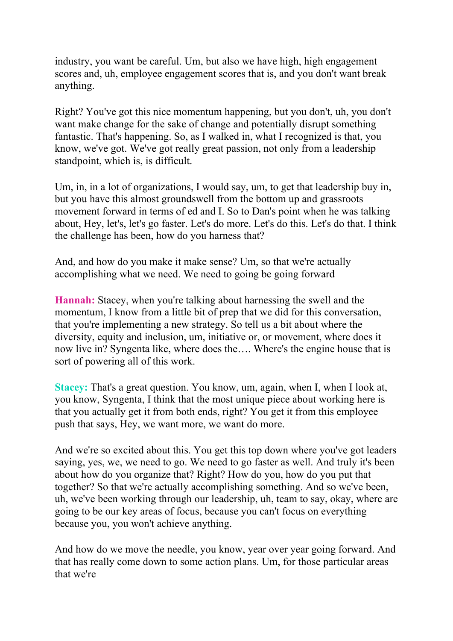industry, you want be careful. Um, but also we have high, high engagement scores and, uh, employee engagement scores that is, and you don't want break anything.

Right? You've got this nice momentum happening, but you don't, uh, you don't want make change for the sake of change and potentially disrupt something fantastic. That's happening. So, as I walked in, what I recognized is that, you know, we've got. We've got really great passion, not only from a leadership standpoint, which is, is difficult.

Um, in, in a lot of organizations, I would say, um, to get that leadership buy in, but you have this almost groundswell from the bottom up and grassroots movement forward in terms of ed and I. So to Dan's point when he was talking about, Hey, let's, let's go faster. Let's do more. Let's do this. Let's do that. I think the challenge has been, how do you harness that?

And, and how do you make it make sense? Um, so that we're actually accomplishing what we need. We need to going be going forward

**Hannah:** Stacey, when you're talking about harnessing the swell and the momentum, I know from a little bit of prep that we did for this conversation, that you're implementing a new strategy. So tell us a bit about where the diversity, equity and inclusion, um, initiative or, or movement, where does it now live in? Syngenta like, where does the…. Where's the engine house that is sort of powering all of this work.

**Stacey:** That's a great question. You know, um, again, when I, when I look at, you know, Syngenta, I think that the most unique piece about working here is that you actually get it from both ends, right? You get it from this employee push that says, Hey, we want more, we want do more.

And we're so excited about this. You get this top down where you've got leaders saying, yes, we, we need to go. We need to go faster as well. And truly it's been about how do you organize that? Right? How do you, how do you put that together? So that we're actually accomplishing something. And so we've been, uh, we've been working through our leadership, uh, team to say, okay, where are going to be our key areas of focus, because you can't focus on everything because you, you won't achieve anything.

And how do we move the needle, you know, year over year going forward. And that has really come down to some action plans. Um, for those particular areas that we're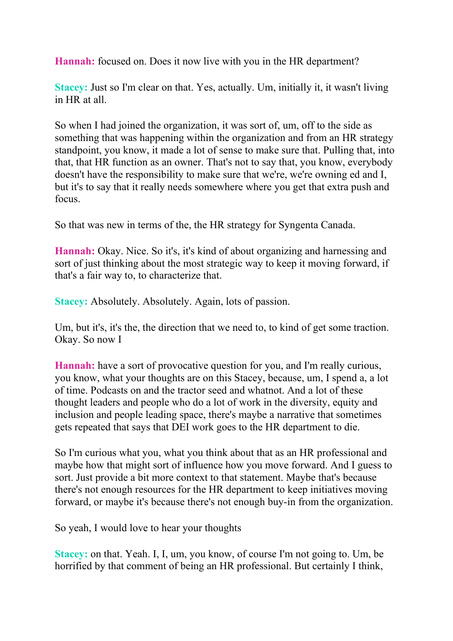**Hannah:** focused on. Does it now live with you in the HR department?

**Stacey:** Just so I'm clear on that. Yes, actually. Um, initially it, it wasn't living in HR at all.

So when I had joined the organization, it was sort of, um, off to the side as something that was happening within the organization and from an HR strategy standpoint, you know, it made a lot of sense to make sure that. Pulling that, into that, that HR function as an owner. That's not to say that, you know, everybody doesn't have the responsibility to make sure that we're, we're owning ed and I, but it's to say that it really needs somewhere where you get that extra push and focus.

So that was new in terms of the, the HR strategy for Syngenta Canada.

**Hannah:** Okay. Nice. So it's, it's kind of about organizing and harnessing and sort of just thinking about the most strategic way to keep it moving forward, if that's a fair way to, to characterize that.

**Stacey:** Absolutely. Absolutely. Again, lots of passion.

Um, but it's, it's the, the direction that we need to, to kind of get some traction. Okay. So now I

**Hannah:** have a sort of provocative question for you, and I'm really curious, you know, what your thoughts are on this Stacey, because, um, I spend a, a lot of time. Podcasts on and the tractor seed and whatnot. And a lot of these thought leaders and people who do a lot of work in the diversity, equity and inclusion and people leading space, there's maybe a narrative that sometimes gets repeated that says that DEI work goes to the HR department to die.

So I'm curious what you, what you think about that as an HR professional and maybe how that might sort of influence how you move forward. And I guess to sort. Just provide a bit more context to that statement. Maybe that's because there's not enough resources for the HR department to keep initiatives moving forward, or maybe it's because there's not enough buy-in from the organization.

So yeah, I would love to hear your thoughts

**Stacey:** on that. Yeah. I, I, um, you know, of course I'm not going to. Um, be horrified by that comment of being an HR professional. But certainly I think,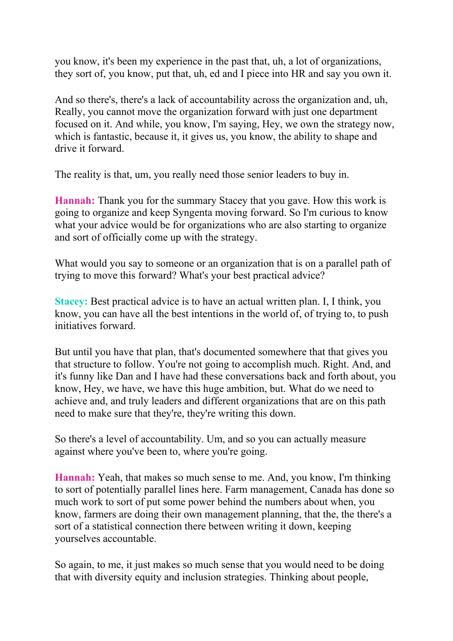you know, it's been my experience in the past that, uh, a lot of organizations, they sort of, you know, put that, uh, ed and I piece into HR and say you own it.

And so there's, there's a lack of accountability across the organization and, uh, Really, you cannot move the organization forward with just one department focused on it. And while, you know, I'm saying, Hey, we own the strategy now, which is fantastic, because it, it gives us, you know, the ability to shape and drive it forward.

The reality is that, um, you really need those senior leaders to buy in.

**Hannah:** Thank you for the summary Stacey that you gave. How this work is going to organize and keep Syngenta moving forward. So I'm curious to know what your advice would be for organizations who are also starting to organize and sort of officially come up with the strategy.

What would you say to someone or an organization that is on a parallel path of trying to move this forward? What's your best practical advice?

**Stacey:** Best practical advice is to have an actual written plan. I, I think, you know, you can have all the best intentions in the world of, of trying to, to push initiatives forward.

But until you have that plan, that's documented somewhere that that gives you that structure to follow. You're not going to accomplish much. Right. And, and it's funny like Dan and I have had these conversations back and forth about, you know, Hey, we have, we have this huge ambition, but. What do we need to achieve and, and truly leaders and different organizations that are on this path need to make sure that they're, they're writing this down.

So there's a level of accountability. Um, and so you can actually measure against where you've been to, where you're going.

**Hannah:** Yeah, that makes so much sense to me. And, you know, I'm thinking to sort of potentially parallel lines here. Farm management, Canada has done so much work to sort of put some power behind the numbers about when, you know, farmers are doing their own management planning, that the, the there's a sort of a statistical connection there between writing it down, keeping yourselves accountable.

So again, to me, it just makes so much sense that you would need to be doing that with diversity equity and inclusion strategies. Thinking about people,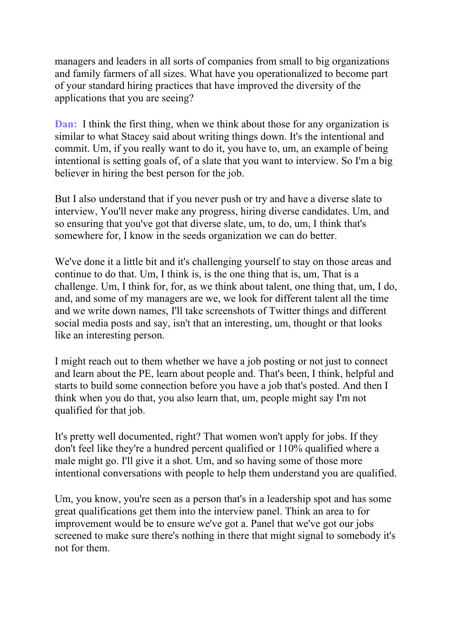managers and leaders in all sorts of companies from small to big organizations and family farmers of all sizes. What have you operationalized to become part of your standard hiring practices that have improved the diversity of the applications that you are seeing?

**Dan:** I think the first thing, when we think about those for any organization is similar to what Stacey said about writing things down. It's the intentional and commit. Um, if you really want to do it, you have to, um, an example of being intentional is setting goals of, of a slate that you want to interview. So I'm a big believer in hiring the best person for the job.

But I also understand that if you never push or try and have a diverse slate to interview, You'll never make any progress, hiring diverse candidates. Um, and so ensuring that you've got that diverse slate, um, to do, um, I think that's somewhere for, I know in the seeds organization we can do better.

We've done it a little bit and it's challenging yourself to stay on those areas and continue to do that. Um, I think is, is the one thing that is, um, That is a challenge. Um, I think for, for, as we think about talent, one thing that, um, I do, and, and some of my managers are we, we look for different talent all the time and we write down names, I'll take screenshots of Twitter things and different social media posts and say, isn't that an interesting, um, thought or that looks like an interesting person.

I might reach out to them whether we have a job posting or not just to connect and learn about the PE, learn about people and. That's been, I think, helpful and starts to build some connection before you have a job that's posted. And then I think when you do that, you also learn that, um, people might say I'm not qualified for that job.

It's pretty well documented, right? That women won't apply for jobs. If they don't feel like they're a hundred percent qualified or 110% qualified where a male might go. I'll give it a shot. Um, and so having some of those more intentional conversations with people to help them understand you are qualified.

Um, you know, you're seen as a person that's in a leadership spot and has some great qualifications get them into the interview panel. Think an area to for improvement would be to ensure we've got a. Panel that we've got our jobs screened to make sure there's nothing in there that might signal to somebody it's not for them.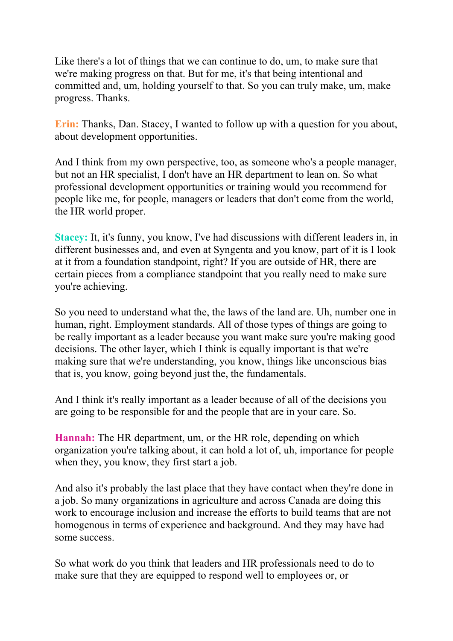Like there's a lot of things that we can continue to do, um, to make sure that we're making progress on that. But for me, it's that being intentional and committed and, um, holding yourself to that. So you can truly make, um, make progress. Thanks.

**Erin:** Thanks, Dan. Stacey, I wanted to follow up with a question for you about, about development opportunities.

And I think from my own perspective, too, as someone who's a people manager, but not an HR specialist, I don't have an HR department to lean on. So what professional development opportunities or training would you recommend for people like me, for people, managers or leaders that don't come from the world, the HR world proper.

**Stacey:** It, it's funny, you know, I've had discussions with different leaders in, in different businesses and, and even at Syngenta and you know, part of it is I look at it from a foundation standpoint, right? If you are outside of HR, there are certain pieces from a compliance standpoint that you really need to make sure you're achieving.

So you need to understand what the, the laws of the land are. Uh, number one in human, right. Employment standards. All of those types of things are going to be really important as a leader because you want make sure you're making good decisions. The other layer, which I think is equally important is that we're making sure that we're understanding, you know, things like unconscious bias that is, you know, going beyond just the, the fundamentals.

And I think it's really important as a leader because of all of the decisions you are going to be responsible for and the people that are in your care. So.

**Hannah:** The HR department, um, or the HR role, depending on which organization you're talking about, it can hold a lot of, uh, importance for people when they, you know, they first start a job.

And also it's probably the last place that they have contact when they're done in a job. So many organizations in agriculture and across Canada are doing this work to encourage inclusion and increase the efforts to build teams that are not homogenous in terms of experience and background. And they may have had some success.

So what work do you think that leaders and HR professionals need to do to make sure that they are equipped to respond well to employees or, or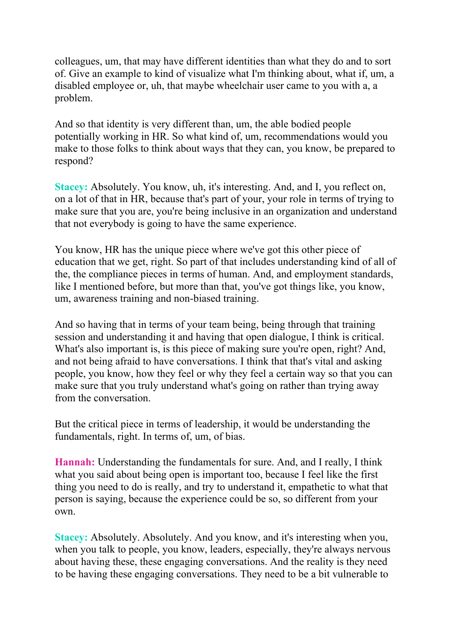colleagues, um, that may have different identities than what they do and to sort of. Give an example to kind of visualize what I'm thinking about, what if, um, a disabled employee or, uh, that maybe wheelchair user came to you with a, a problem.

And so that identity is very different than, um, the able bodied people potentially working in HR. So what kind of, um, recommendations would you make to those folks to think about ways that they can, you know, be prepared to respond?

**Stacey:** Absolutely. You know, uh, it's interesting. And, and I, you reflect on, on a lot of that in HR, because that's part of your, your role in terms of trying to make sure that you are, you're being inclusive in an organization and understand that not everybody is going to have the same experience.

You know, HR has the unique piece where we've got this other piece of education that we get, right. So part of that includes understanding kind of all of the, the compliance pieces in terms of human. And, and employment standards, like I mentioned before, but more than that, you've got things like, you know, um, awareness training and non-biased training.

And so having that in terms of your team being, being through that training session and understanding it and having that open dialogue, I think is critical. What's also important is, is this piece of making sure you're open, right? And, and not being afraid to have conversations. I think that that's vital and asking people, you know, how they feel or why they feel a certain way so that you can make sure that you truly understand what's going on rather than trying away from the conversation.

But the critical piece in terms of leadership, it would be understanding the fundamentals, right. In terms of, um, of bias.

**Hannah:** Understanding the fundamentals for sure. And, and I really, I think what you said about being open is important too, because I feel like the first thing you need to do is really, and try to understand it, empathetic to what that person is saying, because the experience could be so, so different from your own.

**Stacey:** Absolutely. Absolutely. And you know, and it's interesting when you, when you talk to people, you know, leaders, especially, they're always nervous about having these, these engaging conversations. And the reality is they need to be having these engaging conversations. They need to be a bit vulnerable to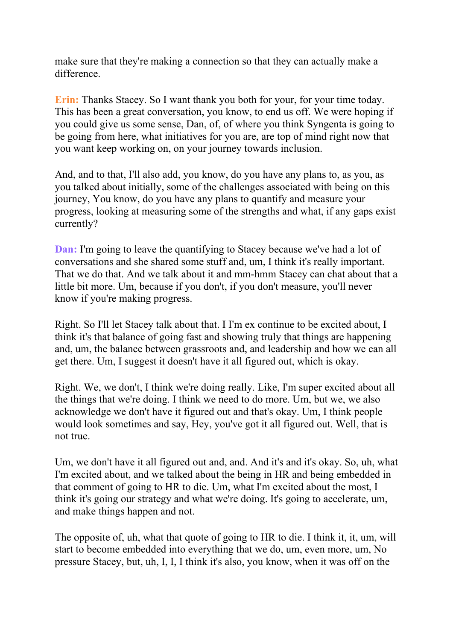make sure that they're making a connection so that they can actually make a difference.

**Erin:** Thanks Stacey. So I want thank you both for your, for your time today. This has been a great conversation, you know, to end us off. We were hoping if you could give us some sense, Dan, of, of where you think Syngenta is going to be going from here, what initiatives for you are, are top of mind right now that you want keep working on, on your journey towards inclusion.

And, and to that, I'll also add, you know, do you have any plans to, as you, as you talked about initially, some of the challenges associated with being on this journey, You know, do you have any plans to quantify and measure your progress, looking at measuring some of the strengths and what, if any gaps exist currently?

**Dan:** I'm going to leave the quantifying to Stacey because we've had a lot of conversations and she shared some stuff and, um, I think it's really important. That we do that. And we talk about it and mm-hmm Stacey can chat about that a little bit more. Um, because if you don't, if you don't measure, you'll never know if you're making progress.

Right. So I'll let Stacey talk about that. I I'm ex continue to be excited about, I think it's that balance of going fast and showing truly that things are happening and, um, the balance between grassroots and, and leadership and how we can all get there. Um, I suggest it doesn't have it all figured out, which is okay.

Right. We, we don't, I think we're doing really. Like, I'm super excited about all the things that we're doing. I think we need to do more. Um, but we, we also acknowledge we don't have it figured out and that's okay. Um, I think people would look sometimes and say, Hey, you've got it all figured out. Well, that is not true.

Um, we don't have it all figured out and, and. And it's and it's okay. So, uh, what I'm excited about, and we talked about the being in HR and being embedded in that comment of going to HR to die. Um, what I'm excited about the most, I think it's going our strategy and what we're doing. It's going to accelerate, um, and make things happen and not.

The opposite of, uh, what that quote of going to HR to die. I think it, it, um, will start to become embedded into everything that we do, um, even more, um, No pressure Stacey, but, uh, I, I, I think it's also, you know, when it was off on the